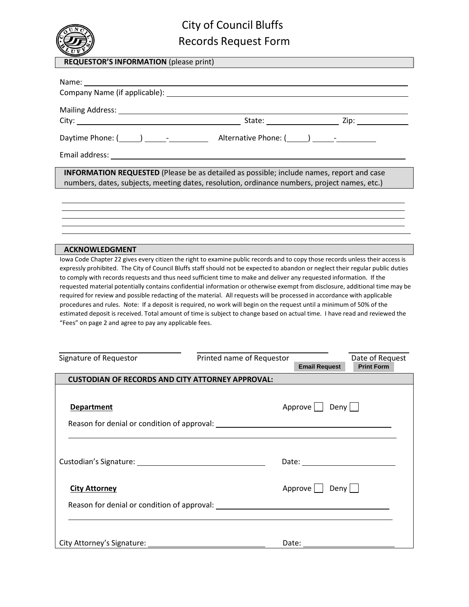

## City of Council Bluffs Records Request Form

| <b>REQUESTOR'S INFORMATION</b> (please print) |  |
|-----------------------------------------------|--|
|-----------------------------------------------|--|

| <b>INFORMATION REQUESTED</b> (Please be as detailed as possible; include names, report and case<br>numbers, dates, subjects, meeting dates, resolution, ordinance numbers, project names, etc.) |  |
|-------------------------------------------------------------------------------------------------------------------------------------------------------------------------------------------------|--|
|                                                                                                                                                                                                 |  |
|                                                                                                                                                                                                 |  |
|                                                                                                                                                                                                 |  |
|                                                                                                                                                                                                 |  |
| <b>ACKNOWLEDGMENT</b>                                                                                                                                                                           |  |

Iowa Code Chapter 22 gives every citizen the right to examine public records and to copy those records unless their access is expressly prohibited. The City of Council Bluffs staff should not be expected to abandon or neglect their regular public duties to comply with records requests and thus need sufficient time to make and deliver any requested information. If the requested material potentially contains confidential information or otherwise exempt from disclosure, additional time may be required for review and possible redacting of the material. All requests will be processed in accordance with applicable procedures and rules. Note: If a deposit is required, no work will begin on the request until a minimum of 50% of the estimated deposit is received. Total amount of time is subject to change based on actual time. I have read and reviewed the "Fees" on page 2 and agree to pay any applicable fees.

| Signature of Requestor                                  | Printed name of Requestor |                      | Date of Request   |  |  |
|---------------------------------------------------------|---------------------------|----------------------|-------------------|--|--|
|                                                         |                           | <b>Email Request</b> | <b>Print Form</b> |  |  |
| <b>CUSTODIAN OF RECORDS AND CITY ATTORNEY APPROVAL:</b> |                           |                      |                   |  |  |
|                                                         |                           |                      |                   |  |  |
| <b>Department</b>                                       |                           | Approve     Deny     |                   |  |  |
|                                                         |                           |                      |                   |  |  |
|                                                         |                           |                      |                   |  |  |
|                                                         |                           |                      |                   |  |  |
|                                                         |                           |                      |                   |  |  |
|                                                         |                           |                      |                   |  |  |
|                                                         |                           |                      |                   |  |  |
|                                                         |                           |                      |                   |  |  |
| <b>City Attorney</b>                                    |                           | Approve     Deny     |                   |  |  |
|                                                         |                           |                      |                   |  |  |
|                                                         |                           |                      |                   |  |  |
|                                                         |                           |                      |                   |  |  |
|                                                         |                           |                      |                   |  |  |
|                                                         |                           |                      |                   |  |  |
|                                                         |                           | Date:                |                   |  |  |